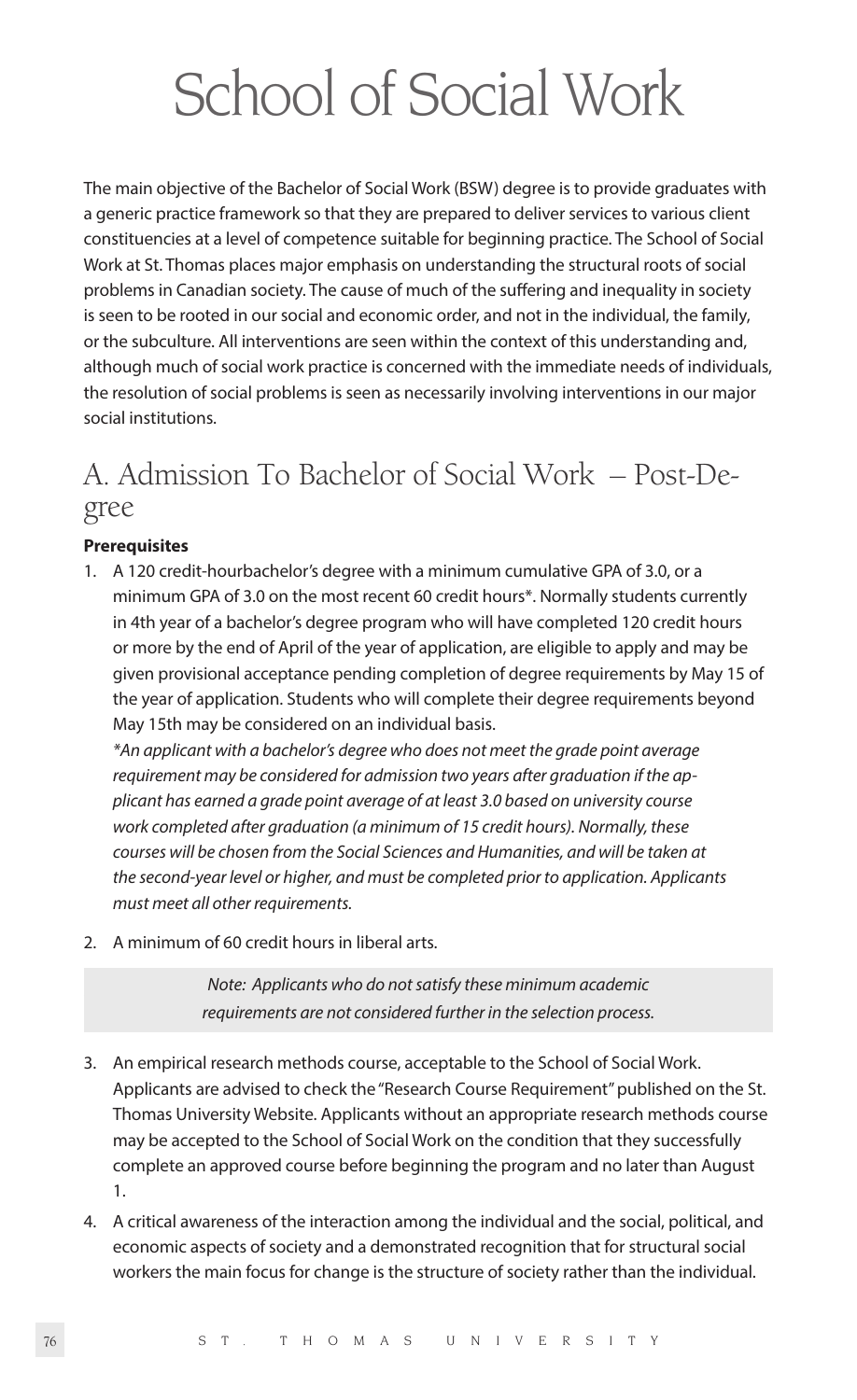# School of Social Work

The main objective of the Bachelor of Social Work (BSW) degree is to provide graduates with a generic practice framework so that they are prepared to deliver services to various client constituencies at a level of competence suitable for beginning practice. The School of Social Work at St. Thomas places major emphasis on understanding the structural roots of social problems in Canadian society. The cause of much of the suffering and inequality in society is seen to be rooted in our social and economic order, and not in the individual, the family, or the subculture. All interventions are seen within the context of this understanding and, although much of social work practice is concerned with the immediate needs of individuals, the resolution of social problems is seen as necessarily involving interventions in our major social institutions.

# A. Admission To Bachelor of Social Work – Post-Degree

# **Prerequisites**

1. A 120 credit-hourbachelor's degree with a minimum cumulative GPA of 3.0, or a minimum GPA of 3.0 on the most recent 60 credit hours\*. Normally students currently in 4th year of a bachelor's degree program who will have completed 120 credit hours or more by the end of April of the year of application, are eligible to apply and may be given provisional acceptance pending completion of degree requirements by May 15 of the year of application. Students who will complete their degree requirements beyond May 15th may be considered on an individual basis.

*\*An applicant with a bachelor's degree who does not meet the grade point average requirement may be considered for admission two years after graduation if the applicant has earned a grade point average of at least 3.0 based on university course work completed after graduation (a minimum of 15 credit hours). Normally, these courses will be chosen from the Social Sciences and Humanities, and will be taken at the second-year level or higher, and must be completed prior to application. Applicants must meet all other requirements.*

2. A minimum of 60 credit hours in liberal arts.

*Note: Applicants who do not satisfy these minimum academic requirements are not considered further in the selection process.*

- 3. An empirical research methods course, acceptable to the School of Social Work. Applicants are advised to check the "Research Course Requirement" published on the St. Thomas University Website. Applicants without an appropriate research methods course may be accepted to the School of Social Work on the condition that they successfully complete an approved course before beginning the program and no later than August 1.
- 4. A critical awareness of the interaction among the individual and the social, political, and economic aspects of society and a demonstrated recognition that for structural social workers the main focus for change is the structure of society rather than the individual.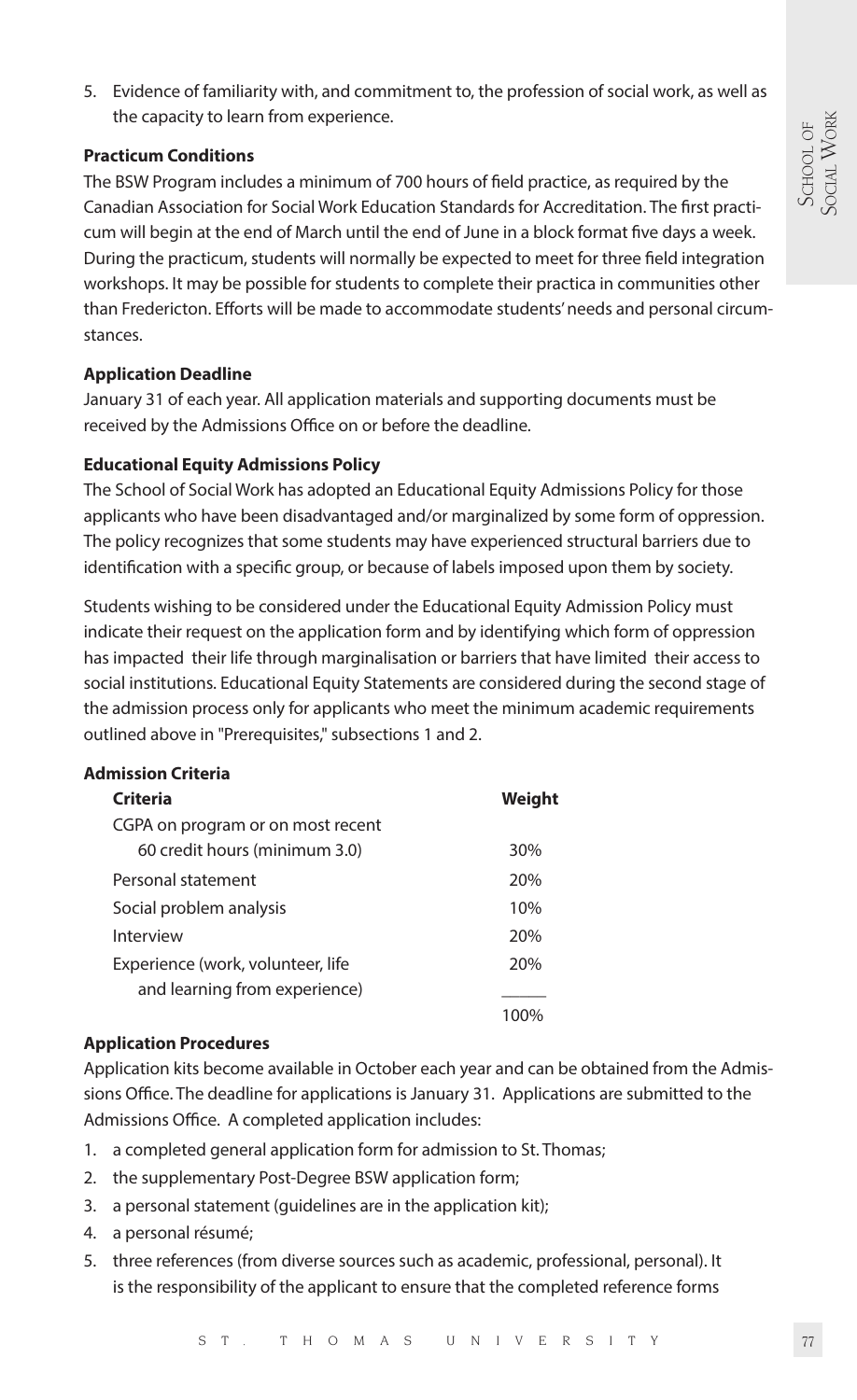5. Evidence of familiarity with, and commitment to, the profession of social work, as well as the capacity to learn from experience.

### **Practicum Conditions**

The BSW Program includes a minimum of 700 hours of field practice, as required by the Canadian Association for Social Work Education Standards for Accreditation. The first practicum will begin at the end of March until the end of June in a block format five days a week. During the practicum, students will normally be expected to meet for three field integration workshops. It may be possible for students to complete their practica in communities other than Fredericton. Efforts will be made to accommodate students' needs and personal circumstances.

# **Application Deadline**

January 31 of each year. All application materials and supporting documents must be received by the Admissions Office on or before the deadline.

## **Educational Equity Admissions Policy**

The School of Social Work has adopted an Educational Equity Admissions Policy for those applicants who have been disadvantaged and/or marginalized by some form of oppression. The policy recognizes that some students may have experienced structural barriers due to identification with a specific group, or because of labels imposed upon them by society.

Students wishing to be considered under the Educational Equity Admission Policy must indicate their request on the application form and by identifying which form of oppression has impacted their life through marginalisation or barriers that have limited their access to social institutions. Educational Equity Statements are considered during the second stage of the admission process only for applicants who meet the minimum academic requirements outlined above in "Prerequisites," subsections 1 and 2.

### **Admission Criteria**

| Criteria                          | Weight |
|-----------------------------------|--------|
| CGPA on program or on most recent |        |
| 60 credit hours (minimum 3.0)     | 30%    |
| Personal statement                | 20%    |
| Social problem analysis           | 10%    |
| Interview                         | 20%    |
| Experience (work, volunteer, life | 20%    |
| and learning from experience)     |        |
|                                   |        |

### **Application Procedures**

Application kits become available in October each year and can be obtained from the Admissions Office. The deadline for applications is January 31. Applications are submitted to the Admissions Office. A completed application includes:

- 1. a completed general application form for admission to St. Thomas;
- 2. the supplementary Post-Degree BSW application form;
- 3. a personal statement (guidelines are in the application kit);
- 4. a personal résumé;
- 5. three references (from diverse sources such as academic, professional, personal). It is the responsibility of the applicant to ensure that the completed reference forms